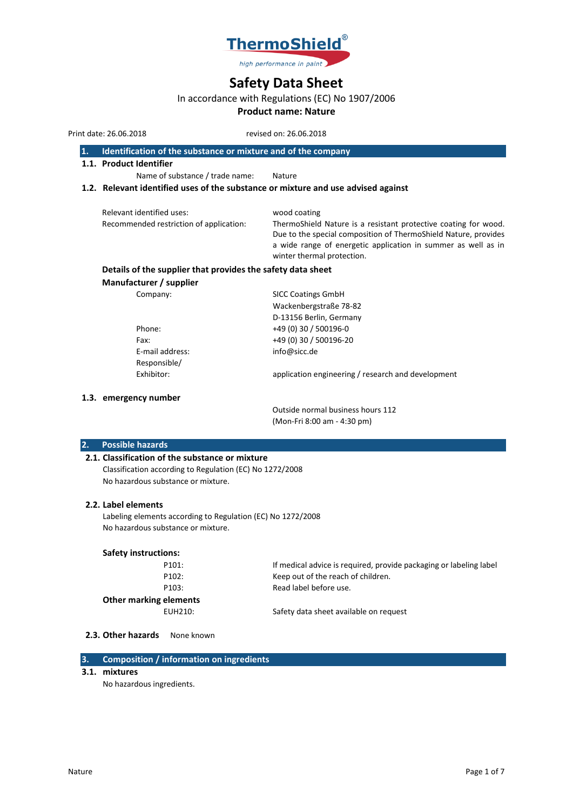

# **Safety Data Sheet**

# In accordance with Regulations (EC) No 1907/2006

# **Product name: Nature**

Print date: 26.06.2018 revised on: 26.06.2018

- **1. Identification of the substance or mixture and of the company**
- **1.1. Product Identifier**

Name of substance / trade name: Nature

## **1.2. Relevant identified uses of the substance or mixture and use advised against**

| Relevant identified uses:<br>Recommended restriction of application: | wood coating<br>ThermoShield Nature is a resistant protective coating for wood.<br>Due to the special composition of ThermoShield Nature, provides |
|----------------------------------------------------------------------|----------------------------------------------------------------------------------------------------------------------------------------------------|
|                                                                      | a wide range of energetic application in summer as well as in<br>winter thermal protection.                                                        |

# **Details of the supplier that provides the safety data sheet**

**Manufacturer / supplier**

| Company:        | <b>SICC Coatings GmbH</b>                          |
|-----------------|----------------------------------------------------|
|                 | Wackenbergstraße 78-82                             |
|                 | D-13156 Berlin, Germany                            |
| Phone:          | +49 (0) 30 / 500196-0                              |
| Fax:            | +49 (0) 30 / 500196-20                             |
| E-mail address: | info@sicc.de                                       |
| Responsible/    |                                                    |
| Exhibitor:      | application engineering / research and development |
|                 |                                                    |

### **1.3. emergency number**

Outside normal business hours 112 (Mon-Fri 8:00 am - 4:30 pm)

### **2. Possible hazards**

#### **2.1. Classification of the substance or mixture**

Classification according to Regulation (EC) No 1272/2008 No hazardous substance or mixture.

#### **2.2. Label elements**

Labeling elements according to Regulation (EC) No 1272/2008 No hazardous substance or mixture.

#### **Safety instructions:**

| P101:       |
|-------------|
| P102:       |
| P103:       |
| ng elements |

If medical advice is required, provide packaging or labeling label Keep out of the reach of children. Read label before use.

# **Other marking**

EUH210: Safety data sheet available on request

#### 2.3. Other hazards None known

# **3. Composition / information on ingredients**

**3.1. mixtures**

No hazardous ingredients.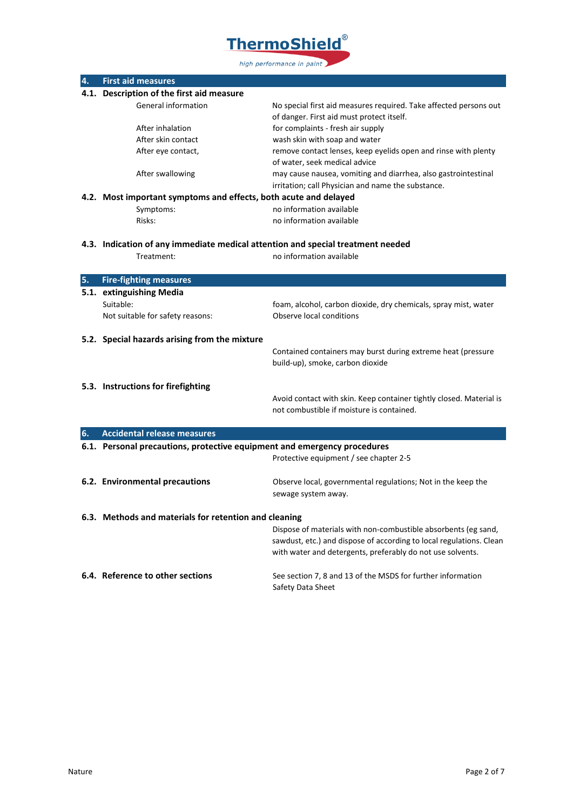

| 4. | <b>First aid measures</b>                                                                     |                                                                                                                                       |
|----|-----------------------------------------------------------------------------------------------|---------------------------------------------------------------------------------------------------------------------------------------|
|    | 4.1. Description of the first aid measure                                                     |                                                                                                                                       |
|    | General information                                                                           | No special first aid measures required. Take affected persons out                                                                     |
|    |                                                                                               | of danger. First aid must protect itself.                                                                                             |
|    | After inhalation                                                                              | for complaints - fresh air supply                                                                                                     |
|    | After skin contact                                                                            | wash skin with soap and water                                                                                                         |
|    | After eye contact,                                                                            | remove contact lenses, keep eyelids open and rinse with plenty                                                                        |
|    |                                                                                               | of water, seek medical advice                                                                                                         |
|    | After swallowing                                                                              | may cause nausea, vomiting and diarrhea, also gastrointestinal                                                                        |
|    |                                                                                               | irritation; call Physician and name the substance.                                                                                    |
|    | 4.2. Most important symptoms and effects, both acute and delayed                              |                                                                                                                                       |
|    | Symptoms:                                                                                     | no information available                                                                                                              |
|    | Risks:                                                                                        | no information available                                                                                                              |
|    |                                                                                               |                                                                                                                                       |
|    | 4.3. Indication of any immediate medical attention and special treatment needed<br>Treatment: | no information available                                                                                                              |
|    |                                                                                               |                                                                                                                                       |
| 5. | <b>Fire-fighting measures</b>                                                                 |                                                                                                                                       |
|    | 5.1. extinguishing Media                                                                      |                                                                                                                                       |
|    | Suitable:                                                                                     | foam, alcohol, carbon dioxide, dry chemicals, spray mist, water                                                                       |
|    | Not suitable for safety reasons:                                                              | Observe local conditions                                                                                                              |
|    |                                                                                               |                                                                                                                                       |
|    | 5.2. Special hazards arising from the mixture                                                 |                                                                                                                                       |
|    |                                                                                               | Contained containers may burst during extreme heat (pressure                                                                          |
|    |                                                                                               | build-up), smoke, carbon dioxide                                                                                                      |
|    |                                                                                               |                                                                                                                                       |
|    | 5.3. Instructions for firefighting                                                            |                                                                                                                                       |
|    |                                                                                               | Avoid contact with skin. Keep container tightly closed. Material is                                                                   |
|    |                                                                                               | not combustible if moisture is contained.                                                                                             |
|    |                                                                                               |                                                                                                                                       |
| 6. | <b>Accidental release measures</b>                                                            |                                                                                                                                       |
|    | 6.1. Personal precautions, protective equipment and emergency procedures                      |                                                                                                                                       |
|    |                                                                                               | Protective equipment / see chapter 2-5                                                                                                |
|    |                                                                                               |                                                                                                                                       |
|    | 6.2. Environmental precautions                                                                | Observe local, governmental regulations; Not in the keep the                                                                          |
|    |                                                                                               | sewage system away.                                                                                                                   |
|    | 6.3. Methods and materials for retention and cleaning                                         |                                                                                                                                       |
|    |                                                                                               |                                                                                                                                       |
|    |                                                                                               | Dispose of materials with non-combustible absorbents (eg sand,<br>sawdust, etc.) and dispose of according to local regulations. Clean |
|    |                                                                                               | with water and detergents, preferably do not use solvents.                                                                            |
|    |                                                                                               |                                                                                                                                       |
|    | 6.4. Reference to other sections                                                              | See section 7, 8 and 13 of the MSDS for further information                                                                           |
|    |                                                                                               | Safety Data Sheet                                                                                                                     |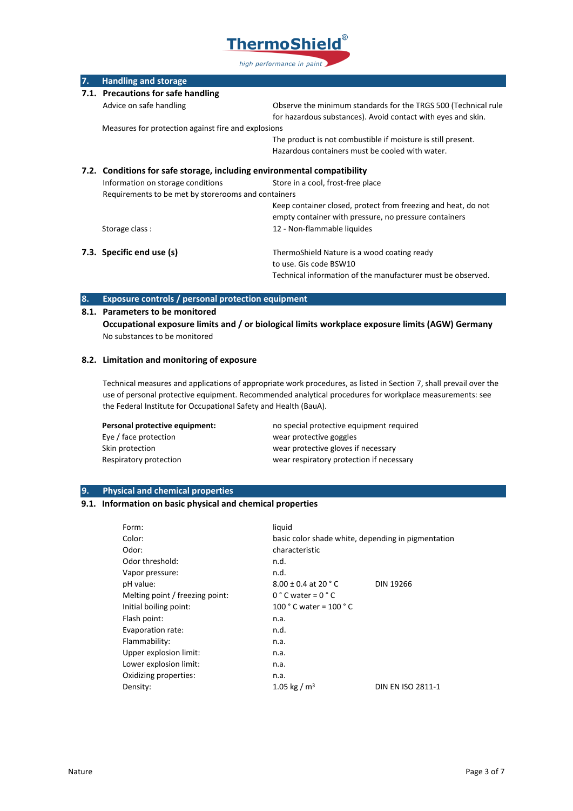

| 7.                                                                      | <b>Handling and storage</b>                         |                                                                |  |  |
|-------------------------------------------------------------------------|-----------------------------------------------------|----------------------------------------------------------------|--|--|
|                                                                         | 7.1. Precautions for safe handling                  |                                                                |  |  |
|                                                                         | Advice on safe handling                             | Observe the minimum standards for the TRGS 500 (Technical rule |  |  |
|                                                                         |                                                     | for hazardous substances). Avoid contact with eyes and skin.   |  |  |
|                                                                         |                                                     | Measures for protection against fire and explosions            |  |  |
|                                                                         |                                                     | The product is not combustible if moisture is still present.   |  |  |
|                                                                         |                                                     | Hazardous containers must be cooled with water.                |  |  |
| 7.2. Conditions for safe storage, including environmental compatibility |                                                     |                                                                |  |  |
|                                                                         | Information on storage conditions                   | Store in a cool, frost-free place                              |  |  |
|                                                                         | Requirements to be met by storerooms and containers |                                                                |  |  |
|                                                                         |                                                     | Keep container closed, protect from freezing and heat, do not  |  |  |
|                                                                         |                                                     | empty container with pressure, no pressure containers          |  |  |
|                                                                         | Storage class:                                      | 12 - Non-flammable liquides                                    |  |  |
|                                                                         | 7.3. Specific end use (s)                           | ThermoShield Nature is a wood coating ready                    |  |  |
|                                                                         |                                                     | to use. Gis code BSW10                                         |  |  |
|                                                                         |                                                     | Technical information of the manufacturer must be observed.    |  |  |

# **8. Exposure controls / personal protection equipment**

### **8.1. Parameters to be monitored**

**Occupational exposure limits and / or biological limits workplace exposure limits (AGW) Germany** No substances to be monitored

# **8.2. Limitation and monitoring of exposure**

Technical measures and applications of appropriate work procedures, as listed in Section 7, shall prevail over the use of personal protective equipment. Recommended analytical procedures for workplace measurements: see the Federal Institute for Occupational Safety and Health (BauA).

| Personal protective equipment: | no special protective equipment required |
|--------------------------------|------------------------------------------|
| Eye / face protection          | wear protective goggles                  |
| Skin protection                | wear protective gloves if necessary      |
| Respiratory protection         | wear respiratory protection if necessary |

# **9. Physical and chemical properties**

# **9.1. Information on basic physical and chemical properties**

| Form:                           | liquid                                             |                   |
|---------------------------------|----------------------------------------------------|-------------------|
| Color:                          | basic color shade white, depending in pigmentation |                   |
| Odor:                           | characteristic                                     |                   |
| Odor threshold:                 | n.d.                                               |                   |
| Vapor pressure:                 | n.d.                                               |                   |
| pH value:                       | $8.00 \pm 0.4$ at 20 ° C                           | <b>DIN 19266</b>  |
| Melting point / freezing point: | $0 °C$ water = $0 °C$                              |                   |
| Initial boiling point:          | 100 $^{\circ}$ C water = 100 $^{\circ}$ C          |                   |
| Flash point:                    | n.a.                                               |                   |
| Evaporation rate:               | n.d.                                               |                   |
| Flammability:                   | n.a.                                               |                   |
| Upper explosion limit:          | n.a.                                               |                   |
| Lower explosion limit:          | n.a.                                               |                   |
| Oxidizing properties:           | n.a.                                               |                   |
| Density:                        | 1.05 kg / $m3$                                     | DIN EN ISO 2811-1 |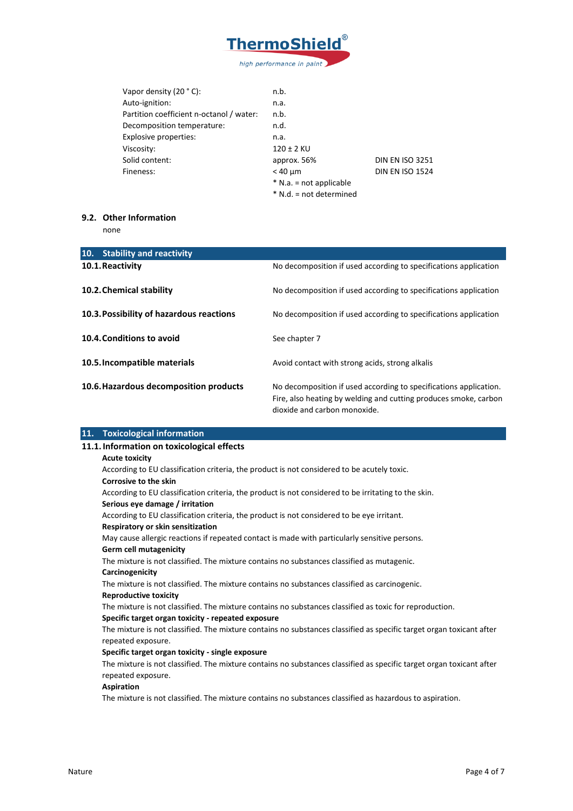

| Vapor density $(20 °C)$ :                | n.b.                    |                        |
|------------------------------------------|-------------------------|------------------------|
| Auto-ignition:                           | n.a.                    |                        |
| Partition coefficient n-octanol / water: | n.b.                    |                        |
| Decomposition temperature:               | n.d.                    |                        |
| Explosive properties:                    | n.a.                    |                        |
| Viscosity:                               | $120 \pm 2$ KU          |                        |
| Solid content:                           | approx. 56%             | <b>DIN EN ISO 3251</b> |
| Fineness:                                | $< 40 \mu m$            | <b>DIN EN ISO 1524</b> |
|                                          | * N.a. = not applicable |                        |
|                                          | * N.d. = not determined |                        |

#### **9.2. Other Information**

none

| 10.<br><b>Stability and reactivity</b>   |                                                                                                                                       |
|------------------------------------------|---------------------------------------------------------------------------------------------------------------------------------------|
| 10.1. Reactivity                         | No decomposition if used according to specifications application                                                                      |
| 10.2. Chemical stability                 | No decomposition if used according to specifications application                                                                      |
| 10.3. Possibility of hazardous reactions | No decomposition if used according to specifications application                                                                      |
| 10.4. Conditions to avoid                | See chapter 7                                                                                                                         |
| 10.5. Incompatible materials             | Avoid contact with strong acids, strong alkalis                                                                                       |
| 10.6. Hazardous decomposition products   | No decomposition if used according to specifications application.<br>Fire, also heating by welding and cutting produces smoke, carbon |
|                                          | dioxide and carbon monoxide.                                                                                                          |

## **11. Toxicological information**

#### **11.1. Information on toxicological effects**

#### **Acute toxicity**

According to EU classification criteria, the product is not considered to be acutely toxic.

#### **Corrosive to the skin**

According to EU classification criteria, the product is not considered to be irritating to the skin.

#### **Serious eye damage / irritation**

According to EU classification criteria, the product is not considered to be eye irritant.

#### **Respiratory or skin sensitization**

May cause allergic reactions if repeated contact is made with particularly sensitive persons.

#### **Germ cell mutagenicity**

The mixture is not classified. The mixture contains no substances classified as mutagenic.

#### **Carcinogenicity**

The mixture is not classified. The mixture contains no substances classified as carcinogenic.

#### **Reproductive toxicity**

The mixture is not classified. The mixture contains no substances classified as toxic for reproduction.

#### **Specific target organ toxicity - repeated exposure**

The mixture is not classified. The mixture contains no substances classified as specific target organ toxicant after repeated exposure.

#### **Specific target organ toxicity - single exposure**

The mixture is not classified. The mixture contains no substances classified as specific target organ toxicant after repeated exposure.

#### **Aspiration**

The mixture is not classified. The mixture contains no substances classified as hazardous to aspiration.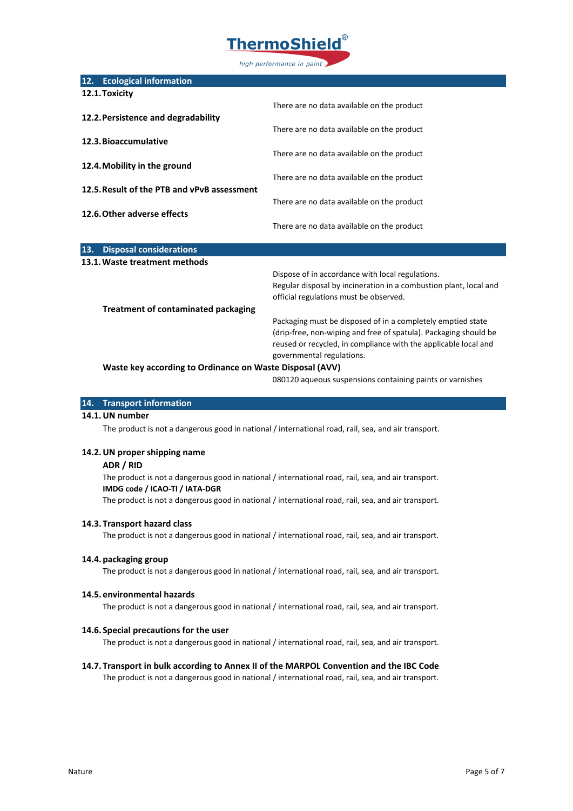

| 12.1. Toxicity<br>There are no data available on the product<br>12.2. Persistence and degradability<br>There are no data available on the product<br>12.3. Bioaccumulative<br>There are no data available on the product<br>12.4. Mobility in the ground<br>There are no data available on the product<br>12.5. Result of the PTB and vPvB assessment<br>There are no data available on the product<br>12.6. Other adverse effects<br>There are no data available on the product<br>13.<br><b>Disposal considerations</b><br>13.1. Waste treatment methods<br>Dispose of in accordance with local regulations.<br>Regular disposal by incineration in a combustion plant, local and<br>official regulations must be observed.<br><b>Treatment of contaminated packaging</b><br>Packaging must be disposed of in a completely emptied state<br>(drip-free, non-wiping and free of spatula). Packaging should be<br>reused or recycled, in compliance with the applicable local and | 12. | <b>Ecological information</b> |                           |
|-----------------------------------------------------------------------------------------------------------------------------------------------------------------------------------------------------------------------------------------------------------------------------------------------------------------------------------------------------------------------------------------------------------------------------------------------------------------------------------------------------------------------------------------------------------------------------------------------------------------------------------------------------------------------------------------------------------------------------------------------------------------------------------------------------------------------------------------------------------------------------------------------------------------------------------------------------------------------------------|-----|-------------------------------|---------------------------|
|                                                                                                                                                                                                                                                                                                                                                                                                                                                                                                                                                                                                                                                                                                                                                                                                                                                                                                                                                                                   |     |                               |                           |
|                                                                                                                                                                                                                                                                                                                                                                                                                                                                                                                                                                                                                                                                                                                                                                                                                                                                                                                                                                                   |     |                               |                           |
|                                                                                                                                                                                                                                                                                                                                                                                                                                                                                                                                                                                                                                                                                                                                                                                                                                                                                                                                                                                   |     |                               |                           |
|                                                                                                                                                                                                                                                                                                                                                                                                                                                                                                                                                                                                                                                                                                                                                                                                                                                                                                                                                                                   |     |                               |                           |
|                                                                                                                                                                                                                                                                                                                                                                                                                                                                                                                                                                                                                                                                                                                                                                                                                                                                                                                                                                                   |     |                               |                           |
|                                                                                                                                                                                                                                                                                                                                                                                                                                                                                                                                                                                                                                                                                                                                                                                                                                                                                                                                                                                   |     |                               |                           |
|                                                                                                                                                                                                                                                                                                                                                                                                                                                                                                                                                                                                                                                                                                                                                                                                                                                                                                                                                                                   |     |                               |                           |
|                                                                                                                                                                                                                                                                                                                                                                                                                                                                                                                                                                                                                                                                                                                                                                                                                                                                                                                                                                                   |     |                               |                           |
|                                                                                                                                                                                                                                                                                                                                                                                                                                                                                                                                                                                                                                                                                                                                                                                                                                                                                                                                                                                   |     |                               |                           |
|                                                                                                                                                                                                                                                                                                                                                                                                                                                                                                                                                                                                                                                                                                                                                                                                                                                                                                                                                                                   |     |                               |                           |
|                                                                                                                                                                                                                                                                                                                                                                                                                                                                                                                                                                                                                                                                                                                                                                                                                                                                                                                                                                                   |     |                               |                           |
|                                                                                                                                                                                                                                                                                                                                                                                                                                                                                                                                                                                                                                                                                                                                                                                                                                                                                                                                                                                   |     |                               |                           |
|                                                                                                                                                                                                                                                                                                                                                                                                                                                                                                                                                                                                                                                                                                                                                                                                                                                                                                                                                                                   |     |                               |                           |
|                                                                                                                                                                                                                                                                                                                                                                                                                                                                                                                                                                                                                                                                                                                                                                                                                                                                                                                                                                                   |     |                               |                           |
|                                                                                                                                                                                                                                                                                                                                                                                                                                                                                                                                                                                                                                                                                                                                                                                                                                                                                                                                                                                   |     |                               |                           |
|                                                                                                                                                                                                                                                                                                                                                                                                                                                                                                                                                                                                                                                                                                                                                                                                                                                                                                                                                                                   |     |                               |                           |
|                                                                                                                                                                                                                                                                                                                                                                                                                                                                                                                                                                                                                                                                                                                                                                                                                                                                                                                                                                                   |     |                               |                           |
|                                                                                                                                                                                                                                                                                                                                                                                                                                                                                                                                                                                                                                                                                                                                                                                                                                                                                                                                                                                   |     |                               |                           |
|                                                                                                                                                                                                                                                                                                                                                                                                                                                                                                                                                                                                                                                                                                                                                                                                                                                                                                                                                                                   |     |                               |                           |
|                                                                                                                                                                                                                                                                                                                                                                                                                                                                                                                                                                                                                                                                                                                                                                                                                                                                                                                                                                                   |     |                               |                           |
|                                                                                                                                                                                                                                                                                                                                                                                                                                                                                                                                                                                                                                                                                                                                                                                                                                                                                                                                                                                   |     |                               |                           |
|                                                                                                                                                                                                                                                                                                                                                                                                                                                                                                                                                                                                                                                                                                                                                                                                                                                                                                                                                                                   |     |                               | governmental regulations. |
| Waste key according to Ordinance on Waste Disposal (AVV)                                                                                                                                                                                                                                                                                                                                                                                                                                                                                                                                                                                                                                                                                                                                                                                                                                                                                                                          |     |                               |                           |

080120 aqueous suspensions containing paints or varnishes

#### **14. Transport information**

#### **14.1.UN number**

The product is not a dangerous good in national / international road, rail, sea, and air transport.

#### **14.2.UN proper shipping name**

#### **ADR / RID**

The product is not a dangerous good in national / international road, rail, sea, and air transport. **IMDG code / ICAO-TI / IATA-DGR**

The product is not a dangerous good in national / international road, rail, sea, and air transport.

#### **14.3. Transport hazard class**

The product is not a dangerous good in national / international road, rail, sea, and air transport.

#### **14.4. packaging group**

The product is not a dangerous good in national / international road, rail, sea, and air transport.

#### **14.5. environmental hazards**

The product is not a dangerous good in national / international road, rail, sea, and air transport.

#### **14.6. Special precautions for the user**

The product is not a dangerous good in national / international road, rail, sea, and air transport.

# **14.7. Transport in bulk according to Annex II of the MARPOL Convention and the IBC Code**

The product is not a dangerous good in national / international road, rail, sea, and air transport.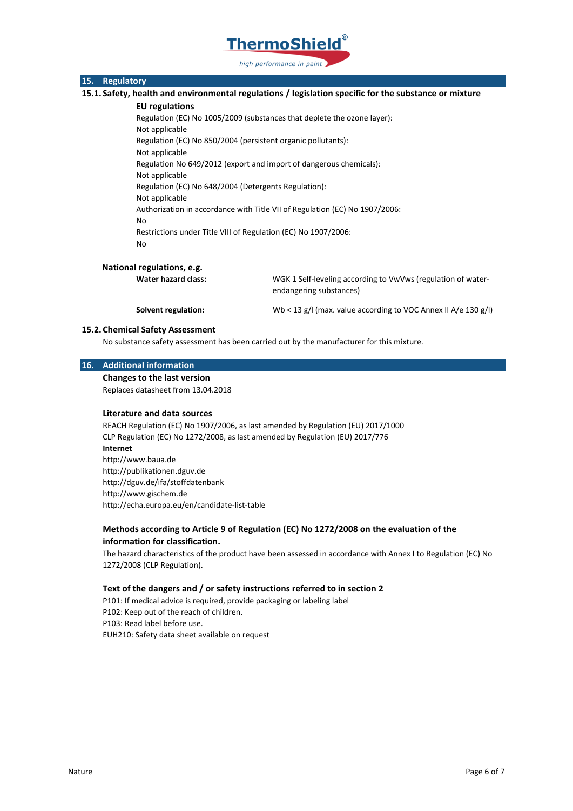

### **15. Regulatory**

**15.1. Safety, health and environmental regulations / legislation specific for the substance or mixture**

#### **EU regulations**

Regulation (EC) No 1005/2009 (substances that deplete the ozone layer): Not applicable Regulation (EC) No 850/2004 (persistent organic pollutants): Not applicable Regulation No 649/2012 (export and import of dangerous chemicals): Not applicable Regulation (EC) No 648/2004 (Detergents Regulation): Not applicable Authorization in accordance with Title VII of Regulation (EC) No 1907/2006: No Restrictions under Title VIII of Regulation (EC) No 1907/2006: No

#### **National regulations, e.g.**

**Water hazard class:** WGK 1 Self-leveling according to VwVws (regulation of waterendangering substances)

Solvent regulation: Wb < 13 g/l (max. value according to VOC Annex II A/e 130 g/l)

#### **15.2. Chemical Safety Assessment**

No substance safety assessment has been carried out by the manufacturer for this mixture.

#### **16. Additional information**

**Changes to the last version**

Replaces datasheet from 13.04.2018

#### **Literature and data sources**

REACH Regulation (EC) No 1907/2006, as last amended by Regulation (EU) 2017/1000 CLP Regulation (EC) No 1272/2008, as last amended by Regulation (EU) 2017/776 **Internet** http://www.baua.de http://publikationen.dguv.de http://dguv.de/ifa/stoffdatenbank http://www.gischem.de http://echa.europa.eu/en/candidate-list-table

## **Methods according to Article 9 of Regulation (EC) No 1272/2008 on the evaluation of the information for classification.**

The hazard characteristics of the product have been assessed in accordance with Annex I to Regulation (EC) No 1272/2008 (CLP Regulation).

#### **Text of the dangers and / or safety instructions referred to in section 2**

P101: If medical advice is required, provide packaging or labeling label P102: Keep out of the reach of children. P103: Read label before use. EUH210: Safety data sheet available on request